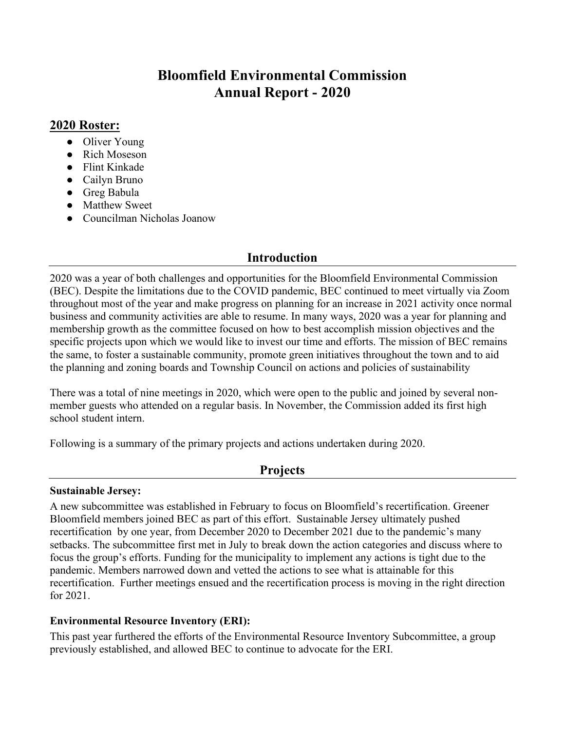# **Bloomfield Environmental Commission Annual Report - 2020**

# **2020 Roster:**

- Oliver Young
- Rich Moseson
- Flint Kinkade
- Cailyn Bruno
- Greg Babula
- Matthew Sweet
- Councilman Nicholas Joanow

# **Introduction**

2020 was a year of both challenges and opportunities for the Bloomfield Environmental Commission (BEC). Despite the limitations due to the COVID pandemic, BEC continued to meet virtually via Zoom throughout most of the year and make progress on planning for an increase in 2021 activity once normal business and community activities are able to resume. In many ways, 2020 was a year for planning and membership growth as the committee focused on how to best accomplish mission objectives and the specific projects upon which we would like to invest our time and efforts. The mission of BEC remains the same, to foster a sustainable community, promote green initiatives throughout the town and to aid the planning and zoning boards and Township Council on actions and policies of sustainability

There was a total of nine meetings in 2020, which were open to the public and joined by several nonmember guests who attended on a regular basis. In November, the Commission added its first high school student intern.

Following is a summary of the primary projects and actions undertaken during 2020.

# **Projects**

#### **Sustainable Jersey:**

A new subcommittee was established in February to focus on Bloomfield's recertification. Greener Bloomfield members joined BEC as part of this effort. Sustainable Jersey ultimately pushed recertification by one year, from December 2020 to December 2021 due to the pandemic's many setbacks. The subcommittee first met in July to break down the action categories and discuss where to focus the group's efforts. Funding for the municipality to implement any actions is tight due to the pandemic. Members narrowed down and vetted the actions to see what is attainable for this recertification. Further meetings ensued and the recertification process is moving in the right direction for 2021.

## **Environmental Resource Inventory (ERI):**

This past year furthered the efforts of the Environmental Resource Inventory Subcommittee, a group previously established, and allowed BEC to continue to advocate for the ERI.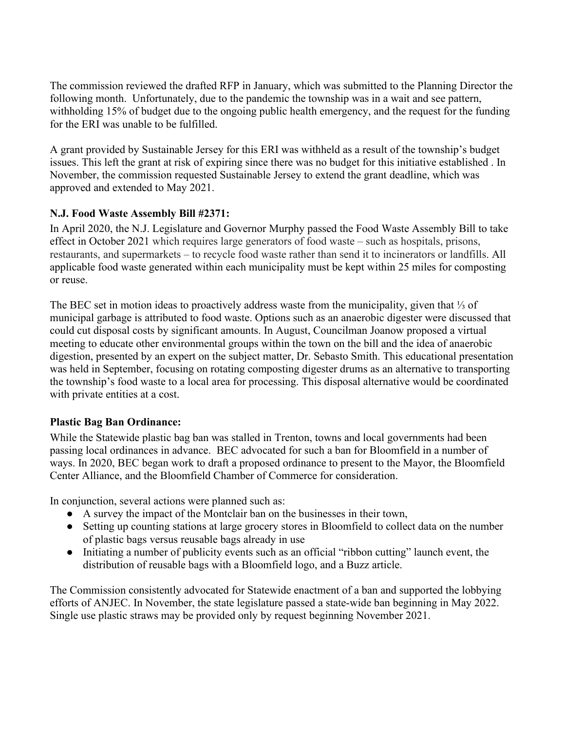The commission reviewed the drafted RFP in January, which was submitted to the Planning Director the following month. Unfortunately, due to the pandemic the township was in a wait and see pattern, withholding 15% of budget due to the ongoing public health emergency, and the request for the funding for the ERI was unable to be fulfilled.

A grant provided by Sustainable Jersey for this ERI was withheld as a result of the township's budget issues. This left the grant at risk of expiring since there was no budget for this initiative established . In November, the commission requested Sustainable Jersey to extend the grant deadline, which was approved and extended to May 2021.

## **N.J. Food Waste Assembly Bill #2371:**

In April 2020, the N.J. Legislature and Governor Murphy passed the Food Waste Assembly Bill to take effect in October 2021 which requires large generators of food waste – such as hospitals, prisons, restaurants, and supermarkets – to recycle food waste rather than send it to incinerators or landfills. All applicable food waste generated within each municipality must be kept within 25 miles for composting or reuse.

The BEC set in motion ideas to proactively address waste from the municipality, given that ⅓ of municipal garbage is attributed to food waste. Options such as an anaerobic digester were discussed that could cut disposal costs by significant amounts. In August, Councilman Joanow proposed a virtual meeting to educate other environmental groups within the town on the bill and the idea of anaerobic digestion, presented by an expert on the subject matter, Dr. Sebasto Smith. This educational presentation was held in September, focusing on rotating composting digester drums as an alternative to transporting the township's food waste to a local area for processing. This disposal alternative would be coordinated with private entities at a cost.

#### **Plastic Bag Ban Ordinance:**

While the Statewide plastic bag ban was stalled in Trenton, towns and local governments had been passing local ordinances in advance. BEC advocated for such a ban for Bloomfield in a number of ways. In 2020, BEC began work to draft a proposed ordinance to present to the Mayor, the Bloomfield Center Alliance, and the Bloomfield Chamber of Commerce for consideration.

In conjunction, several actions were planned such as:

- A survey the impact of the Montclair ban on the businesses in their town,
- Setting up counting stations at large grocery stores in Bloomfield to collect data on the number of plastic bags versus reusable bags already in use
- Initiating a number of publicity events such as an official "ribbon cutting" launch event, the distribution of reusable bags with a Bloomfield logo, and a Buzz article.

The Commission consistently advocated for Statewide enactment of a ban and supported the lobbying efforts of ANJEC. In November, the state legislature passed a state-wide ban beginning in May 2022. Single use plastic straws may be provided only by request beginning November 2021.